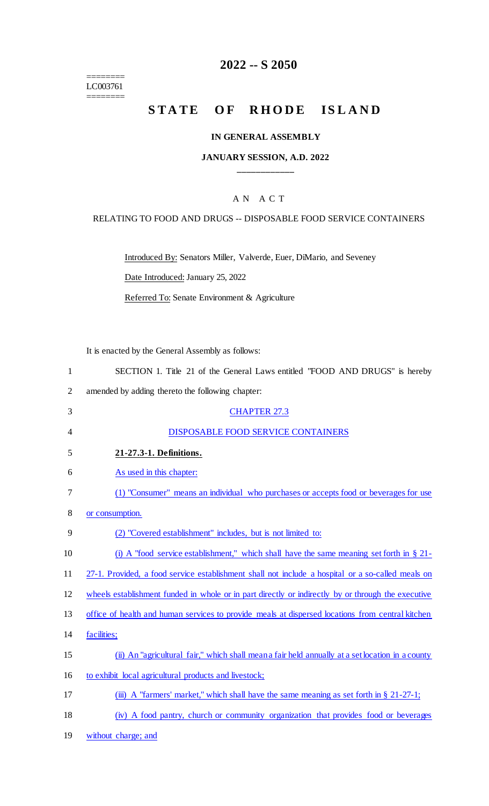======== LC003761

 $=$ 

# **2022 -- S 2050**

# STATE OF RHODE ISLAND

#### **IN GENERAL ASSEMBLY**

#### **JANUARY SESSION, A.D. 2022 \_\_\_\_\_\_\_\_\_\_\_\_**

## A N A C T

#### RELATING TO FOOD AND DRUGS -- DISPOSABLE FOOD SERVICE CONTAINERS

Introduced By: Senators Miller, Valverde, Euer, DiMario, and Seveney

Date Introduced: January 25, 2022

Referred To: Senate Environment & Agriculture

It is enacted by the General Assembly as follows:

| $\mathbf{1}$   | SECTION 1. Title 21 of the General Laws entitled "FOOD AND DRUGS" is hereby                        |
|----------------|----------------------------------------------------------------------------------------------------|
| $\overline{2}$ | amended by adding thereto the following chapter:                                                   |
| 3              | <b>CHAPTER 27.3</b>                                                                                |
| $\overline{4}$ | DISPOSABLE FOOD SERVICE CONTAINERS                                                                 |
| 5              | 21-27.3-1. Definitions.                                                                            |
| 6              | As used in this chapter:                                                                           |
| 7              | (1) "Consumer" means an individual who purchases or accepts food or beverages for use              |
| 8              | or consumption.                                                                                    |
| 9              | (2) "Covered establishment" includes, but is not limited to:                                       |
| 10             | (i) A "food service establishment," which shall have the same meaning set forth in $\S 21$ -       |
| 11             | 27-1. Provided, a food service establishment shall not include a hospital or a so-called meals on  |
| 12             | wheels establishment funded in whole or in part directly or indirectly by or through the executive |
| 13             | office of health and human services to provide meals at dispersed locations from central kitchen   |
| 14             | facilities;                                                                                        |
| 15             | (ii) An "agricultural fair," which shall mean a fair held annually at a set location in a county   |
| 16             | to exhibit local agricultural products and livestock;                                              |
| 17             | (iii) A "farmers' market," which shall have the same meaning as set forth in $\S 21-27-1$ ;        |
| 18             | (iv) A food pantry, church or community organization that provides food or beverages               |
| 19             | without charge; and                                                                                |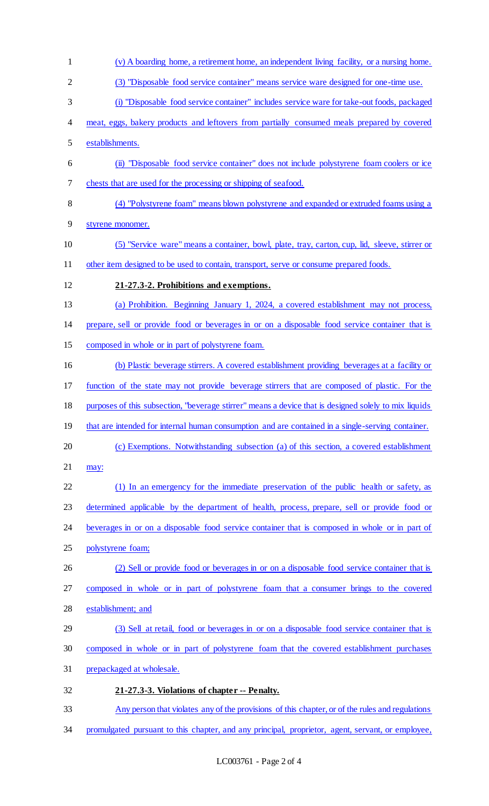- (v) A boarding home, a retirement home, an independent living facility, or a nursing home. (3) "Disposable food service container" means service ware designed for one-time use. (i) "Disposable food service container" includes service ware for take-out foods, packaged meat, eggs, bakery products and leftovers from partially consumed meals prepared by covered establishments. (ii) "Disposable food service container" does not include polystyrene foam coolers or ice chests that are used for the processing or shipping of seafood. (4) "Polystyrene foam" means blown polystyrene and expanded or extruded foams using a styrene monomer. (5) "Service ware" means a container, bowl, plate, tray, carton, cup, lid, sleeve, stirrer or 11 other item designed to be used to contain, transport, serve or consume prepared foods. **21-27.3-2. Prohibitions and exemptions.**  (a) Prohibition. Beginning January 1, 2024, a covered establishment may not process, prepare, sell or provide food or beverages in or on a disposable food service container that is composed in whole or in part of polystyrene foam. (b) Plastic beverage stirrers. A covered establishment providing beverages at a facility or function of the state may not provide beverage stirrers that are composed of plastic. For the purposes of this subsection, "beverage stirrer" means a device that is designed solely to mix liquids 19 that are intended for internal human consumption and are contained in a single-serving container. (c) Exemptions. Notwithstanding subsection (a) of this section, a covered establishment may: (1) In an emergency for the immediate preservation of the public health or safety, as determined applicable by the department of health, process, prepare, sell or provide food or beverages in or on a disposable food service container that is composed in whole or in part of polystyrene foam; 26 (2) Sell or provide food or beverages in or on a disposable food service container that is composed in whole or in part of polystyrene foam that a consumer brings to the covered establishment; and (3) Sell at retail, food or beverages in or on a disposable food service container that is composed in whole or in part of polystyrene foam that the covered establishment purchases prepackaged at wholesale. **21-27.3-3. Violations of chapter -- Penalty.**  Any person that violates any of the provisions of this chapter, or of the rules and regulations
- promulgated pursuant to this chapter, and any principal, proprietor, agent, servant, or employee,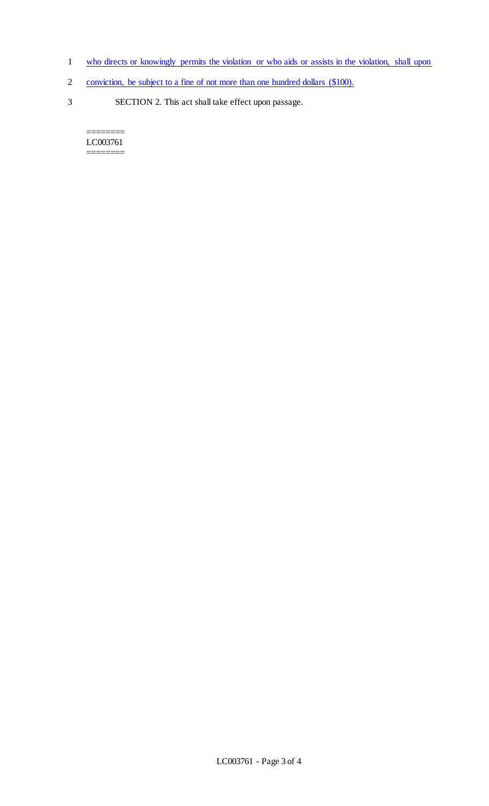- 1 who directs or knowingly permits the violation or who aids or assists in the violation, shall upon
- 2 conviction, be subject to a fine of not more than one hundred dollars (\$100).
- 3 SECTION 2. This act shall take effect upon passage.

======== LC003761  $=$